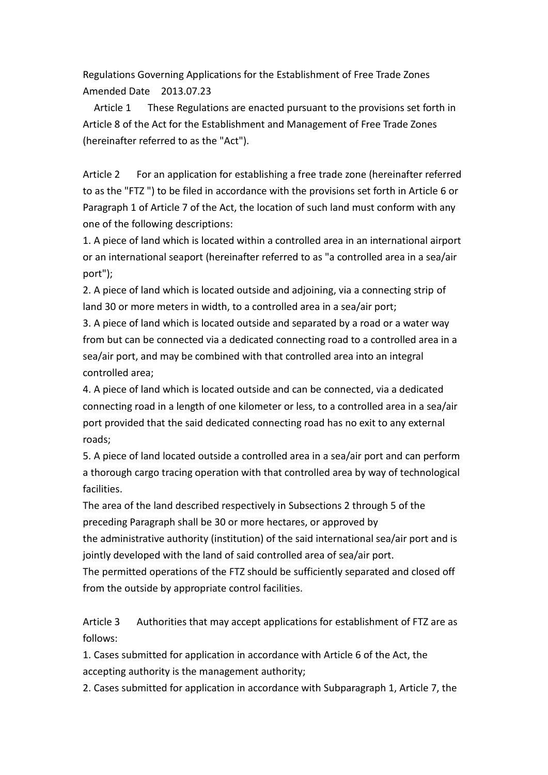Regulations Governing Applications for the Establishment of Free Trade Zones Amended Date 2013.07.23

 Article 1 These Regulations are enacted pursuant to the provisions set forth in Article 8 of the Act for the Establishment and Management of Free Trade Zones (hereinafter referred to as the "Act").

Article 2 For an application for establishing a free trade zone (hereinafter referred to as the "FTZ ") to be filed in accordance with the provisions set forth in Article 6 or Paragraph 1 of Article 7 of the Act, the location of such land must conform with any one of the following descriptions:

1. A piece of land which is located within a controlled area in an international airport or an international seaport (hereinafter referred to as "a controlled area in a sea/air port");

2. A piece of land which is located outside and adjoining, via a connecting strip of land 30 or more meters in width, to a controlled area in a sea/air port;

3. A piece of land which is located outside and separated by a road or a water way from but can be connected via a dedicated connecting road to a controlled area in a sea/air port, and may be combined with that controlled area into an integral controlled area;

4. A piece of land which is located outside and can be connected, via a dedicated connecting road in a length of one kilometer or less, to a controlled area in a sea/air port provided that the said dedicated connecting road has no exit to any external roads;

5. A piece of land located outside a controlled area in a sea/air port and can perform a thorough cargo tracing operation with that controlled area by way of technological facilities.

The area of the land described respectively in Subsections 2 through 5 of the preceding Paragraph shall be 30 or more hectares, or approved by the administrative authority (institution) of the said international sea/air port and is jointly developed with the land of said controlled area of sea/air port.

The permitted operations of the FTZ should be sufficiently separated and closed off from the outside by appropriate control facilities.

Article 3 Authorities that may accept applications for establishment of FTZ are as follows:

1. Cases submitted for application in accordance with Article 6 of the Act, the accepting authority is the management authority;

2. Cases submitted for application in accordance with Subparagraph 1, Article 7, the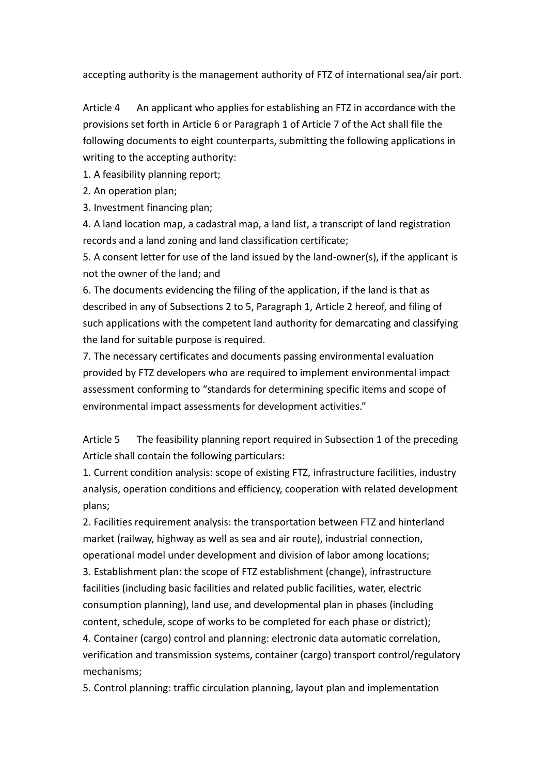accepting authority is the management authority of FTZ of international sea/air port.

Article 4 An applicant who applies for establishing an FTZ in accordance with the provisions set forth in Article 6 or Paragraph 1 of Article 7 of the Act shall file the following documents to eight counterparts, submitting the following applications in writing to the accepting authority:

1. A feasibility planning report;

2. An operation plan;

3. Investment financing plan;

4. A land location map, a cadastral map, a land list, a transcript of land registration records and a land zoning and land classification certificate;

5. A consent letter for use of the land issued by the land-owner(s), if the applicant is not the owner of the land; and

6. The documents evidencing the filing of the application, if the land is that as described in any of Subsections 2 to 5, Paragraph 1, Article 2 hereof, and filing of such applications with the competent land authority for demarcating and classifying the land for suitable purpose is required.

7. The necessary certificates and documents passing environmental evaluation provided by FTZ developers who are required to implement environmental impact assessment conforming to "standards for determining specific items and scope of environmental impact assessments for development activities."

Article 5 The feasibility planning report required in Subsection 1 of the preceding Article shall contain the following particulars:

1. Current condition analysis: scope of existing FTZ, infrastructure facilities, industry analysis, operation conditions and efficiency, cooperation with related development plans;

2. Facilities requirement analysis: the transportation between FTZ and hinterland market (railway, highway as well as sea and air route), industrial connection, operational model under development and division of labor among locations;

3. Establishment plan: the scope of FTZ establishment (change), infrastructure facilities (including basic facilities and related public facilities, water, electric consumption planning), land use, and developmental plan in phases (including content, schedule, scope of works to be completed for each phase or district);

4. Container (cargo) control and planning: electronic data automatic correlation, verification and transmission systems, container (cargo) transport control/regulatory mechanisms;

5. Control planning: traffic circulation planning, layout plan and implementation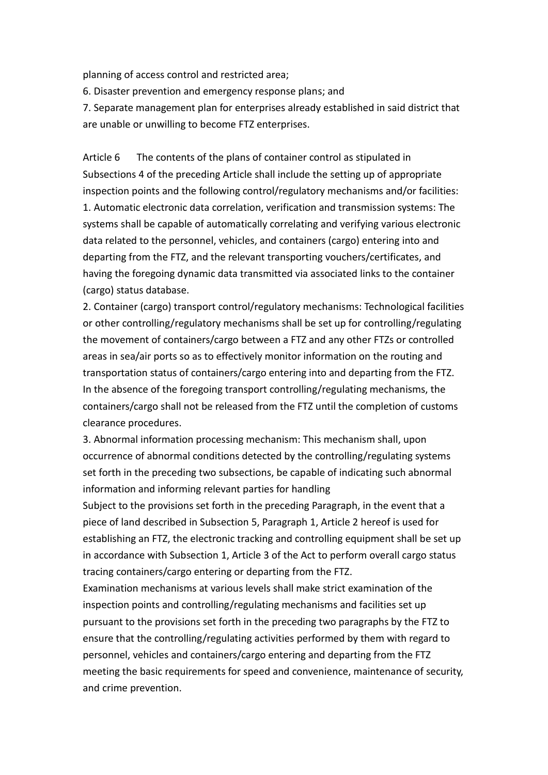planning of access control and restricted area;

6. Disaster prevention and emergency response plans; and

7. Separate management plan for enterprises already established in said district that are unable or unwilling to become FTZ enterprises.

Article 6 The contents of the plans of container control as stipulated in Subsections 4 of the preceding Article shall include the setting up of appropriate inspection points and the following control/regulatory mechanisms and/or facilities: 1. Automatic electronic data correlation, verification and transmission systems: The systems shall be capable of automatically correlating and verifying various electronic data related to the personnel, vehicles, and containers (cargo) entering into and departing from the FTZ, and the relevant transporting vouchers/certificates, and having the foregoing dynamic data transmitted via associated links to the container (cargo) status database.

2. Container (cargo) transport control/regulatory mechanisms: Technological facilities or other controlling/regulatory mechanisms shall be set up for controlling/regulating the movement of containers/cargo between a FTZ and any other FTZs or controlled areas in sea/air ports so as to effectively monitor information on the routing and transportation status of containers/cargo entering into and departing from the FTZ. In the absence of the foregoing transport controlling/regulating mechanisms, the containers/cargo shall not be released from the FTZ until the completion of customs clearance procedures.

3. Abnormal information processing mechanism: This mechanism shall, upon occurrence of abnormal conditions detected by the controlling/regulating systems set forth in the preceding two subsections, be capable of indicating such abnormal information and informing relevant parties for handling

Subject to the provisions set forth in the preceding Paragraph, in the event that a piece of land described in Subsection 5, Paragraph 1, Article 2 hereof is used for establishing an FTZ, the electronic tracking and controlling equipment shall be set up in accordance with Subsection 1, Article 3 of the Act to perform overall cargo status tracing containers/cargo entering or departing from the FTZ.

Examination mechanisms at various levels shall make strict examination of the inspection points and controlling/regulating mechanisms and facilities set up pursuant to the provisions set forth in the preceding two paragraphs by the FTZ to ensure that the controlling/regulating activities performed by them with regard to personnel, vehicles and containers/cargo entering and departing from the FTZ meeting the basic requirements for speed and convenience, maintenance of security, and crime prevention.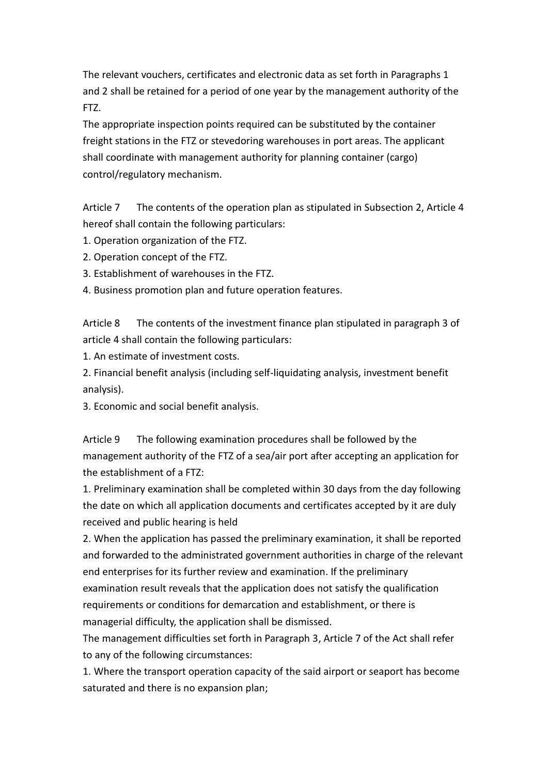The relevant vouchers, certificates and electronic data as set forth in Paragraphs 1 and 2 shall be retained for a period of one year by the management authority of the FTZ.

The appropriate inspection points required can be substituted by the container freight stations in the FTZ or stevedoring warehouses in port areas. The applicant shall coordinate with management authority for planning container (cargo) control/regulatory mechanism.

Article 7 The contents of the operation plan as stipulated in Subsection 2, Article 4 hereof shall contain the following particulars:

- 1. Operation organization of the FTZ.
- 2. Operation concept of the FTZ.
- 3. Establishment of warehouses in the FTZ.
- 4. Business promotion plan and future operation features.

Article 8 The contents of the investment finance plan stipulated in paragraph 3 of article 4 shall contain the following particulars:

1. An estimate of investment costs.

2. Financial benefit analysis (including self-liquidating analysis, investment benefit analysis).

3. Economic and social benefit analysis.

Article 9 The following examination procedures shall be followed by the management authority of the FTZ of a sea/air port after accepting an application for the establishment of a FTZ:

1. Preliminary examination shall be completed within 30 days from the day following the date on which all application documents and certificates accepted by it are duly received and public hearing is held

2. When the application has passed the preliminary examination, it shall be reported and forwarded to the administrated government authorities in charge of the relevant end enterprises for its further review and examination. If the preliminary examination result reveals that the application does not satisfy the qualification requirements or conditions for demarcation and establishment, or there is managerial difficulty, the application shall be dismissed.

The management difficulties set forth in Paragraph 3, Article 7 of the Act shall refer to any of the following circumstances:

1. Where the transport operation capacity of the said airport or seaport has become saturated and there is no expansion plan;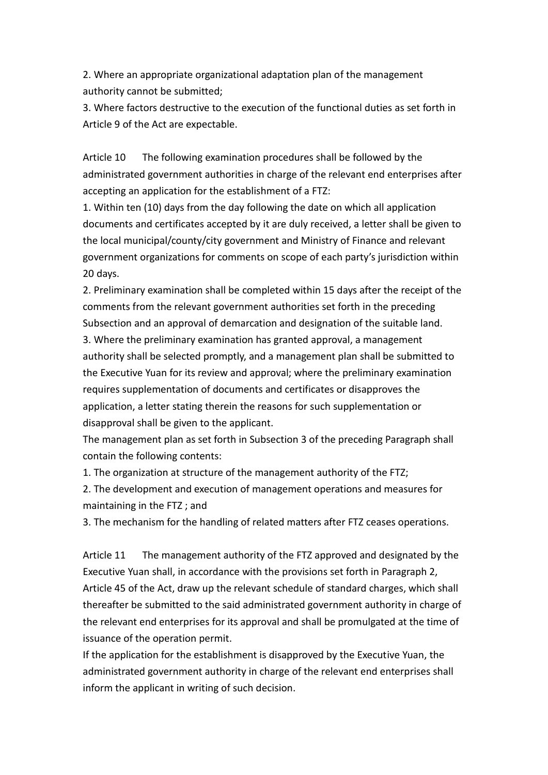2. Where an appropriate organizational adaptation plan of the management authority cannot be submitted;

3. Where factors destructive to the execution of the functional duties as set forth in Article 9 of the Act are expectable.

Article 10 The following examination procedures shall be followed by the administrated government authorities in charge of the relevant end enterprises after accepting an application for the establishment of a FTZ:

1. Within ten (10) days from the day following the date on which all application documents and certificates accepted by it are duly received, a letter shall be given to the local municipal/county/city government and Ministry of Finance and relevant government organizations for comments on scope of each party's jurisdiction within 20 days.

2. Preliminary examination shall be completed within 15 days after the receipt of the comments from the relevant government authorities set forth in the preceding Subsection and an approval of demarcation and designation of the suitable land. 3. Where the preliminary examination has granted approval, a management authority shall be selected promptly, and a management plan shall be submitted to the Executive Yuan for its review and approval; where the preliminary examination requires supplementation of documents and certificates or disapproves the application, a letter stating therein the reasons for such supplementation or disapproval shall be given to the applicant.

The management plan as set forth in Subsection 3 of the preceding Paragraph shall contain the following contents:

1. The organization at structure of the management authority of the FTZ;

2. The development and execution of management operations and measures for maintaining in the FTZ ; and

3. The mechanism for the handling of related matters after FTZ ceases operations.

Article 11 The management authority of the FTZ approved and designated by the Executive Yuan shall, in accordance with the provisions set forth in Paragraph 2, Article 45 of the Act, draw up the relevant schedule of standard charges, which shall thereafter be submitted to the said administrated government authority in charge of the relevant end enterprises for its approval and shall be promulgated at the time of issuance of the operation permit.

If the application for the establishment is disapproved by the Executive Yuan, the administrated government authority in charge of the relevant end enterprises shall inform the applicant in writing of such decision.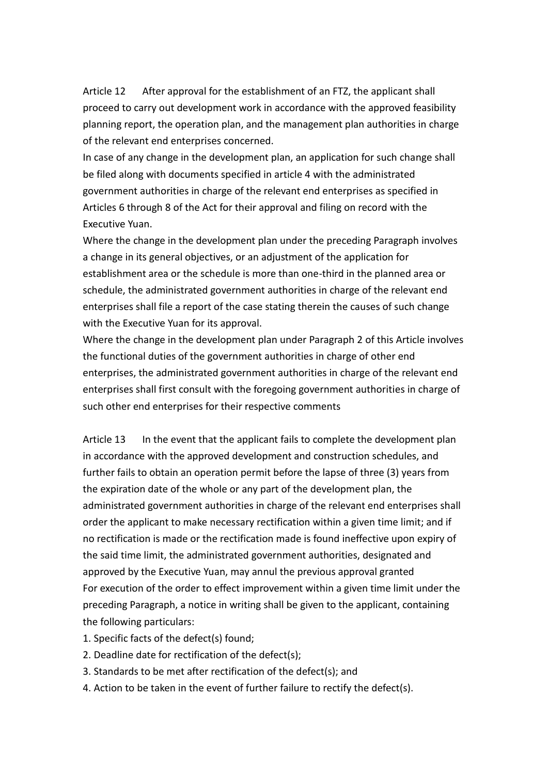Article 12 After approval for the establishment of an FTZ, the applicant shall proceed to carry out development work in accordance with the approved feasibility planning report, the operation plan, and the management plan authorities in charge of the relevant end enterprises concerned.

In case of any change in the development plan, an application for such change shall be filed along with documents specified in article 4 with the administrated government authorities in charge of the relevant end enterprises as specified in Articles 6 through 8 of the Act for their approval and filing on record with the Executive Yuan.

Where the change in the development plan under the preceding Paragraph involves a change in its general objectives, or an adjustment of the application for establishment area or the schedule is more than one-third in the planned area or schedule, the administrated government authorities in charge of the relevant end enterprises shall file a report of the case stating therein the causes of such change with the Executive Yuan for its approval.

Where the change in the development plan under Paragraph 2 of this Article involves the functional duties of the government authorities in charge of other end enterprises, the administrated government authorities in charge of the relevant end enterprises shall first consult with the foregoing government authorities in charge of such other end enterprises for their respective comments

Article 13 In the event that the applicant fails to complete the development plan in accordance with the approved development and construction schedules, and further fails to obtain an operation permit before the lapse of three (3) years from the expiration date of the whole or any part of the development plan, the administrated government authorities in charge of the relevant end enterprises shall order the applicant to make necessary rectification within a given time limit; and if no rectification is made or the rectification made is found ineffective upon expiry of the said time limit, the administrated government authorities, designated and approved by the Executive Yuan, may annul the previous approval granted For execution of the order to effect improvement within a given time limit under the preceding Paragraph, a notice in writing shall be given to the applicant, containing the following particulars:

- 1. Specific facts of the defect(s) found;
- 2. Deadline date for rectification of the defect(s);
- 3. Standards to be met after rectification of the defect(s); and
- 4. Action to be taken in the event of further failure to rectify the defect(s).